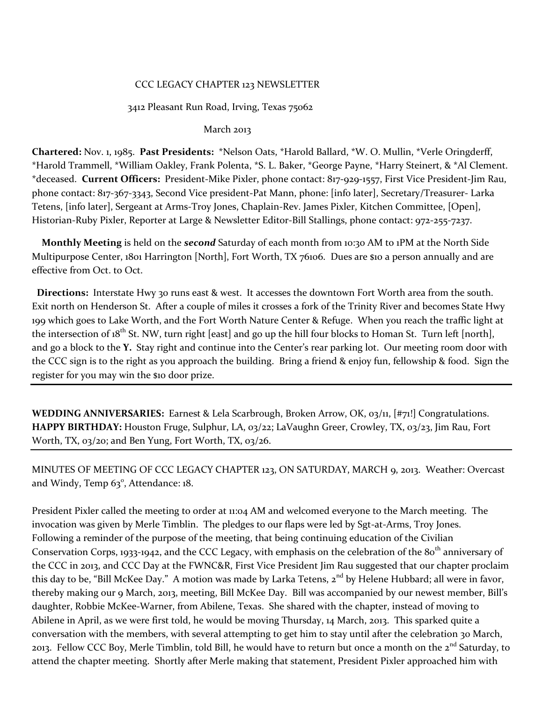# CCC LEGACY CHAPTER 123 NEWSLETTER

## 3412 Pleasant Run Road, Irving, Texas 75062

### March 2013

**Chartered:** Nov. 1, 1985. **Past Presidents:** \*Nelson Oats, \*Harold Ballard, \*W. O. Mullin, \*Verle Oringderff, \*Harold Trammell, \*William Oakley, Frank Polenta, \*S. L. Baker, \*George Payne, \*Harry Steinert, & \*Al Clement. \*deceased. **Current Officers:** President-Mike Pixler, phone contact: 817-929-1557, First Vice President-Jim Rau, phone contact: 817-367-3343, Second Vice president-Pat Mann, phone: [info later], Secretary/Treasurer- Larka Tetens, [info later], Sergeant at Arms-Troy Jones, Chaplain-Rev. James Pixler, Kitchen Committee, [Open], Historian-Ruby Pixler, Reporter at Large & Newsletter Editor-Bill Stallings, phone contact: 972-255-7237.

 **Monthly Meeting** is held on the *second* Saturday of each month from 10:30 AM to 1PM at the North Side Multipurpose Center, 1801 Harrington [North], Fort Worth, TX 76106. Dues are \$10 a person annually and are effective from Oct. to Oct.

 **Directions:** Interstate Hwy 30 runs east & west. It accesses the downtown Fort Worth area from the south. Exit north on Henderson St. After a couple of miles it crosses a fork of the Trinity River and becomes State Hwy 199 which goes to Lake Worth, and the Fort Worth Nature Center & Refuge. When you reach the traffic light at the intersection of  $18^{th}$  St. NW, turn right [east] and go up the hill four blocks to Homan St. Turn left [north], and go a block to the **Y.** Stay right and continue into the Center's rear parking lot. Our meeting room door with the CCC sign is to the right as you approach the building. Bring a friend & enjoy fun, fellowship & food. Sign the register for you may win the \$10 door prize.

**WEDDING ANNIVERSARIES:** Earnest & Lela Scarbrough, Broken Arrow, OK, 03/11, [#71!] Congratulations. **HAPPY BIRTHDAY:** Houston Fruge, Sulphur, LA, 03/22; LaVaughn Greer, Crowley, TX, 03/23, Jim Rau, Fort Worth, TX, 03/20; and Ben Yung, Fort Worth, TX, 03/26.

MINUTES OF MEETING OF CCC LEGACY CHAPTER 123, ON SATURDAY, MARCH 9, 2013. Weather: Overcast and Windy, Temp  $63^\circ$ , Attendance: 18.

President Pixler called the meeting to order at 11:04 AM and welcomed everyone to the March meeting. The invocation was given by Merle Timblin. The pledges to our flaps were led by Sgt-at-Arms, Troy Jones. Following a reminder of the purpose of the meeting, that being continuing education of the Civilian Conservation Corps, 1933-1942, and the CCC Legacy, with emphasis on the celebration of the 80<sup>th</sup> anniversary of the CCC in 2013, and CCC Day at the FWNC&R, First Vice President Jim Rau suggested that our chapter proclaim this day to be, "Bill McKee Day." A motion was made by Larka Tetens, 2<sup>nd</sup> by Helene Hubbard; all were in favor, thereby making our 9 March, 2013, meeting, Bill McKee Day. Bill was accompanied by our newest member, Bill's daughter, Robbie McKee-Warner, from Abilene, Texas. She shared with the chapter, instead of moving to Abilene in April, as we were first told, he would be moving Thursday, 14 March, 2013. This sparked quite a conversation with the members, with several attempting to get him to stay until after the celebration 30 March, 2013. Fellow CCC Boy, Merle Timblin, told Bill, he would have to return but once a month on the 2<sup>nd</sup> Saturday, to attend the chapter meeting. Shortly after Merle making that statement, President Pixler approached him with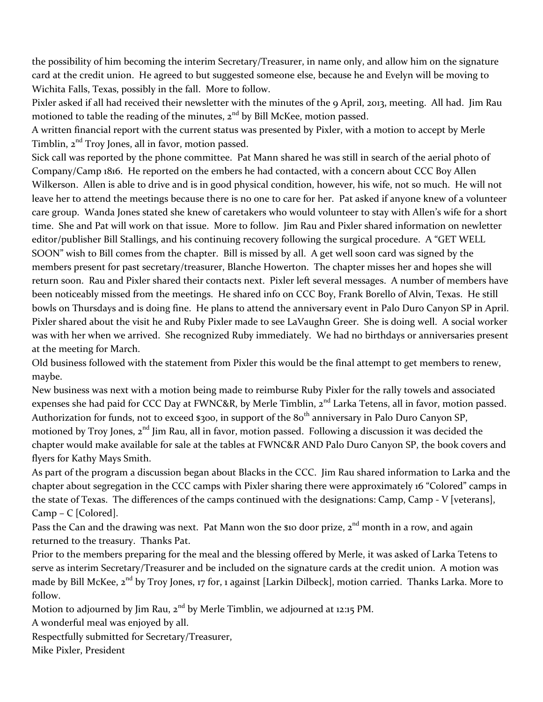the possibility of him becoming the interim Secretary/Treasurer, in name only, and allow him on the signature card at the credit union. He agreed to but suggested someone else, because he and Evelyn will be moving to Wichita Falls, Texas, possibly in the fall. More to follow.

Pixler asked if all had received their newsletter with the minutes of the 9 April, 2013, meeting. All had. Jim Rau motioned to table the reading of the minutes,  $2<sup>nd</sup>$  by Bill McKee, motion passed.

A written financial report with the current status was presented by Pixler, with a motion to accept by Merle Timblin,  $2<sup>nd</sup>$  Troy Jones, all in favor, motion passed.

Sick call was reported by the phone committee. Pat Mann shared he was still in search of the aerial photo of Company/Camp 1816. He reported on the embers he had contacted, with a concern about CCC Boy Allen Wilkerson. Allen is able to drive and is in good physical condition, however, his wife, not so much. He will not leave her to attend the meetings because there is no one to care for her. Pat asked if anyone knew of a volunteer care group. Wanda Jones stated she knew of caretakers who would volunteer to stay with Allen's wife for a short time. She and Pat will work on that issue. More to follow. Jim Rau and Pixler shared information on newletter editor/publisher Bill Stallings, and his continuing recovery following the surgical procedure. A "GET WELL SOON" wish to Bill comes from the chapter. Bill is missed by all. A get well soon card was signed by the members present for past secretary/treasurer, Blanche Howerton. The chapter misses her and hopes she will return soon. Rau and Pixler shared their contacts next. Pixler left several messages. A number of members have been noticeably missed from the meetings. He shared info on CCC Boy, Frank Borello of Alvin, Texas. He still bowls on Thursdays and is doing fine. He plans to attend the anniversary event in Palo Duro Canyon SP in April. Pixler shared about the visit he and Ruby Pixler made to see LaVaughn Greer. She is doing well. A social worker was with her when we arrived. She recognized Ruby immediately. We had no birthdays or anniversaries present at the meeting for March.

Old business followed with the statement from Pixler this would be the final attempt to get members to renew, maybe.

New business was next with a motion being made to reimburse Ruby Pixler for the rally towels and associated expenses she had paid for CCC Day at FWNC&R, by Merle Timblin, 2<sup>nd</sup> Larka Tetens, all in favor, motion passed. Authorization for funds, not to exceed \$300, in support of the 80<sup>th</sup> anniversary in Palo Duro Canyon SP, motioned by Troy Jones, 2<sup>nd</sup> Jim Rau, all in favor, motion passed. Following a discussion it was decided the chapter would make available for sale at the tables at FWNC&R AND Palo Duro Canyon SP, the book covers and flyers for Kathy Mays Smith.

As part of the program a discussion began about Blacks in the CCC. Jim Rau shared information to Larka and the chapter about segregation in the CCC camps with Pixler sharing there were approximately 16 "Colored" camps in the state of Texas. The differences of the camps continued with the designations: Camp, Camp - V [veterans], Camp – C [Colored].

Pass the Can and the drawing was next. Pat Mann won the \$10 door prize, 2<sup>nd</sup> month in a row, and again returned to the treasury. Thanks Pat.

Prior to the members preparing for the meal and the blessing offered by Merle, it was asked of Larka Tetens to serve as interim Secretary/Treasurer and be included on the signature cards at the credit union. A motion was made by Bill McKee, 2<sup>nd</sup> by Troy Jones, 17 for, 1 against [Larkin Dilbeck], motion carried. Thanks Larka. More to follow.

Motion to adjourned by Jim Rau, 2<sup>nd</sup> by Merle Timblin, we adiourned at 12:15 PM.

A wonderful meal was enjoyed by all.

Respectfully submitted for Secretary/Treasurer,

Mike Pixler, President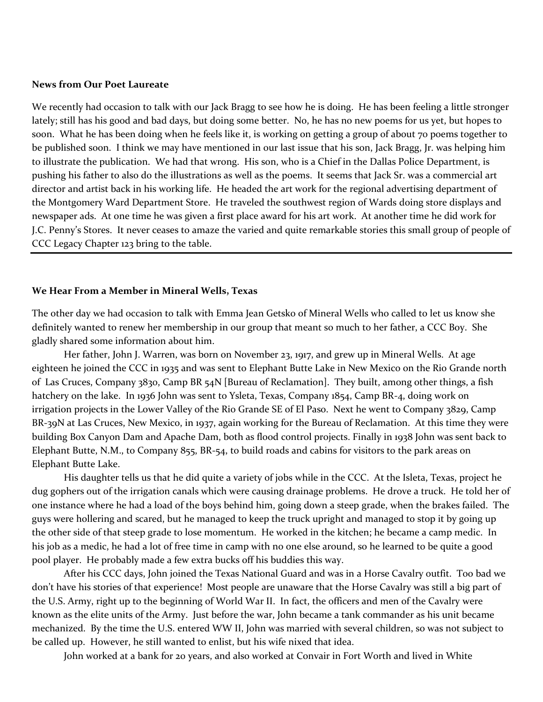#### **News from Our Poet Laureate**

We recently had occasion to talk with our Jack Bragg to see how he is doing. He has been feeling a little stronger lately; still has his good and bad days, but doing some better. No, he has no new poems for us yet, but hopes to soon. What he has been doing when he feels like it, is working on getting a group of about 70 poems together to be published soon. I think we may have mentioned in our last issue that his son, Jack Bragg, Jr. was helping him to illustrate the publication. We had that wrong. His son, who is a Chief in the Dallas Police Department, is pushing his father to also do the illustrations as well as the poems. It seems that Jack Sr. was a commercial art director and artist back in his working life. He headed the art work for the regional advertising department of the Montgomery Ward Department Store. He traveled the southwest region of Wards doing store displays and newspaper ads. At one time he was given a first place award for his art work. At another time he did work for J.C. Penny's Stores. It never ceases to amaze the varied and quite remarkable stories this small group of people of CCC Legacy Chapter 123 bring to the table.

#### **We Hear From a Member in Mineral Wells, Texas**

The other day we had occasion to talk with Emma Jean Getsko of Mineral Wells who called to let us know she definitely wanted to renew her membership in our group that meant so much to her father, a CCC Boy. She gladly shared some information about him.

Her father, John J. Warren, was born on November 23, 1917, and grew up in Mineral Wells. At age eighteen he joined the CCC in 1935 and was sent to Elephant Butte Lake in New Mexico on the Rio Grande north of Las Cruces, Company 3830, Camp BR 54N [Bureau of Reclamation]. They built, among other things, a fish hatchery on the lake. In 1936 John was sent to Ysleta, Texas, Company 1854, Camp BR-4, doing work on irrigation projects in the Lower Valley of the Rio Grande SE of El Paso. Next he went to Company 3829, Camp BR-39N at Las Cruces, New Mexico, in 1937, again working for the Bureau of Reclamation. At this time they were building Box Canyon Dam and Apache Dam, both as flood control projects. Finally in 1938 John was sent back to Elephant Butte, N.M., to Company 855, BR-54, to build roads and cabins for visitors to the park areas on Elephant Butte Lake.

His daughter tells us that he did quite a variety of jobs while in the CCC. At the Isleta, Texas, project he dug gophers out of the irrigation canals which were causing drainage problems. He drove a truck. He told her of one instance where he had a load of the boys behind him, going down a steep grade, when the brakes failed. The guys were hollering and scared, but he managed to keep the truck upright and managed to stop it by going up the other side of that steep grade to lose momentum. He worked in the kitchen; he became a camp medic. In his job as a medic, he had a lot of free time in camp with no one else around, so he learned to be quite a good pool player. He probably made a few extra bucks off his buddies this way.

After his CCC days, John joined the Texas National Guard and was in a Horse Cavalry outfit. Too bad we don't have his stories of that experience! Most people are unaware that the Horse Cavalry was still a big part of the U.S. Army, right up to the beginning of World War II. In fact, the officers and men of the Cavalry were known as the elite units of the Army. Just before the war, John became a tank commander as his unit became mechanized. By the time the U.S. entered WW II, John was married with several children, so was not subject to be called up. However, he still wanted to enlist, but his wife nixed that idea.

John worked at a bank for 20 years, and also worked at Convair in Fort Worth and lived in White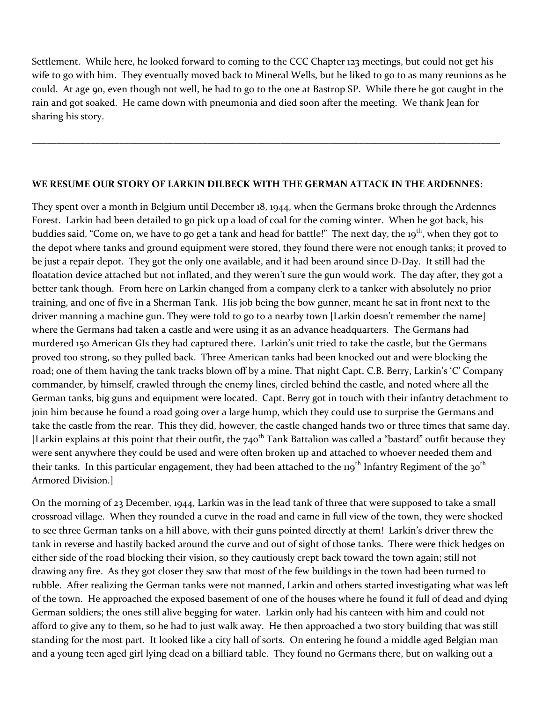Settlement. While here, he looked forward to coming to the CCC Chapter 123 meetings, but could not get his wife to go with him. They eventually moved back to Mineral Wells, but he liked to go to as many reunions as he could. At age 90, even though not well, he had to go to the one at Bastrop SP. While there he got caught in the rain and got soaked. He came down with pneumonia and died soon after the meeting. We thank Jean for sharing his story.

\_\_\_\_\_\_\_\_\_\_\_\_\_\_\_\_\_\_\_\_\_\_\_\_\_\_\_\_\_\_\_\_\_\_\_\_\_\_\_\_\_\_\_\_\_\_\_\_\_\_\_\_\_\_\_\_\_\_\_\_\_\_\_\_\_\_\_\_\_\_\_\_\_\_\_\_\_\_\_\_\_\_\_\_\_\_\_\_\_\_\_\_\_\_\_\_

## **WE RESUME OUR STORY OF LARKIN DILBECK WITH THE GERMAN ATTACK IN THE ARDENNES:**

They spent over a month in Belgium until December 18, 1944, when the Germans broke through the Ardennes Forest. Larkin had been detailed to go pick up a load of coal for the coming winter. When he got back, his buddies said, "Come on, we have to go get a tank and head for battle!" The next day, the 19<sup>th</sup>, when they got to the depot where tanks and ground equipment were stored, they found there were not enough tanks; it proved to be just a repair depot. They got the only one available, and it had been around since D-Day. It still had the floatation device attached but not inflated, and they weren't sure the gun would work. The day after, they got a better tank though. From here on Larkin changed from a company clerk to a tanker with absolutely no prior training, and one of five in a Sherman Tank. His job being the bow gunner, meant he sat in front next to the driver manning a machine gun. They were told to go to a nearby town [Larkin doesn't remember the name] where the Germans had taken a castle and were using it as an advance headquarters. The Germans had murdered 150 American GIs they had captured there. Larkin's unit tried to take the castle, but the Germans proved too strong, so they pulled back. Three American tanks had been knocked out and were blocking the road; one of them having the tank tracks blown off by a mine. That night Capt. C.B. Berry, Larkin's 'C' Company commander, by himself, crawled through the enemy lines, circled behind the castle, and noted where all the German tanks, big guns and equipment were located. Capt. Berry got in touch with their infantry detachment to join him because he found a road going over a large hump, which they could use to surprise the Germans and take the castle from the rear. This they did, however, the castle changed hands two or three times that same day. [Larkin explains at this point that their outfit, the  $740^{th}$  Tank Battalion was called a "bastard" outfit because they were sent anywhere they could be used and were often broken up and attached to whoever needed them and their tanks. In this particular engagement, they had been attached to the 119<sup>th</sup> Infantry Regiment of the 30<sup>th</sup> Armored Division.]

On the morning of 23 December, 1944, Larkin was in the lead tank of three that were supposed to take a small crossroad village. When they rounded a curve in the road and came in full view of the town, they were shocked to see three German tanks on a hill above, with their guns pointed directly at them! Larkin's driver threw the tank in reverse and hastily backed around the curve and out of sight of those tanks. There were thick hedges on either side of the road blocking their vision, so they cautiously crept back toward the town again; still not drawing any fire. As they got closer they saw that most of the few buildings in the town had been turned to rubble. After realizing the German tanks were not manned, Larkin and others started investigating what was left of the town. He approached the exposed basement of one of the houses where he found it full of dead and dying German soldiers; the ones still alive begging for water. Larkin only had his canteen with him and could not afford to give any to them, so he had to just walk away. He then approached a two story building that was still standing for the most part. It looked like a city hall of sorts. On entering he found a middle aged Belgian man and a young teen aged girl lying dead on a billiard table. They found no Germans there, but on walking out a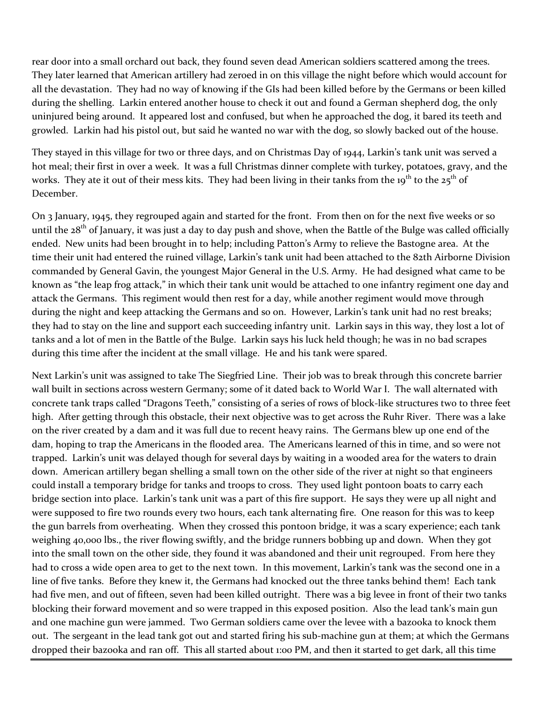rear door into a small orchard out back, they found seven dead American soldiers scattered among the trees. They later learned that American artillery had zeroed in on this village the night before which would account for all the devastation. They had no way of knowing if the GIs had been killed before by the Germans or been killed during the shelling. Larkin entered another house to check it out and found a German shepherd dog, the only uninjured being around. It appeared lost and confused, but when he approached the dog, it bared its teeth and growled. Larkin had his pistol out, but said he wanted no war with the dog, so slowly backed out of the house.

They stayed in this village for two or three days, and on Christmas Day of 1944, Larkin's tank unit was served a hot meal; their first in over a week. It was a full Christmas dinner complete with turkey, potatoes, gravy, and the works. They ate it out of their mess kits. They had been living in their tanks from the 19<sup>th</sup> to the 25<sup>th</sup> of December.

On 3 January, 1945, they regrouped again and started for the front. From then on for the next five weeks or so until the  $28<sup>th</sup>$  of January, it was just a day to day push and shove, when the Battle of the Bulge was called officially ended. New units had been brought in to help; including Patton's Army to relieve the Bastogne area. At the time their unit had entered the ruined village, Larkin's tank unit had been attached to the 82th Airborne Division commanded by General Gavin, the youngest Major General in the U.S. Army. He had designed what came to be known as "the leap frog attack," in which their tank unit would be attached to one infantry regiment one day and attack the Germans. This regiment would then rest for a day, while another regiment would move through during the night and keep attacking the Germans and so on. However, Larkin's tank unit had no rest breaks; they had to stay on the line and support each succeeding infantry unit. Larkin says in this way, they lost a lot of tanks and a lot of men in the Battle of the Bulge. Larkin says his luck held though; he was in no bad scrapes during this time after the incident at the small village. He and his tank were spared.

Next Larkin's unit was assigned to take The Siegfried Line. Their job was to break through this concrete barrier wall built in sections across western Germany; some of it dated back to World War I. The wall alternated with concrete tank traps called "Dragons Teeth," consisting of a series of rows of block-like structures two to three feet high. After getting through this obstacle, their next objective was to get across the Ruhr River. There was a lake on the river created by a dam and it was full due to recent heavy rains. The Germans blew up one end of the dam, hoping to trap the Americans in the flooded area. The Americans learned of this in time, and so were not trapped. Larkin's unit was delayed though for several days by waiting in a wooded area for the waters to drain down. American artillery began shelling a small town on the other side of the river at night so that engineers could install a temporary bridge for tanks and troops to cross. They used light pontoon boats to carry each bridge section into place. Larkin's tank unit was a part of this fire support. He says they were up all night and were supposed to fire two rounds every two hours, each tank alternating fire. One reason for this was to keep the gun barrels from overheating. When they crossed this pontoon bridge, it was a scary experience; each tank weighing 40,000 lbs., the river flowing swiftly, and the bridge runners bobbing up and down. When they got into the small town on the other side, they found it was abandoned and their unit regrouped. From here they had to cross a wide open area to get to the next town. In this movement, Larkin's tank was the second one in a line of five tanks. Before they knew it, the Germans had knocked out the three tanks behind them! Each tank had five men, and out of fifteen, seven had been killed outright. There was a big levee in front of their two tanks blocking their forward movement and so were trapped in this exposed position. Also the lead tank's main gun and one machine gun were jammed. Two German soldiers came over the levee with a bazooka to knock them out. The sergeant in the lead tank got out and started firing his sub-machine gun at them; at which the Germans dropped their bazooka and ran off. This all started about 1:00 PM, and then it started to get dark, all this time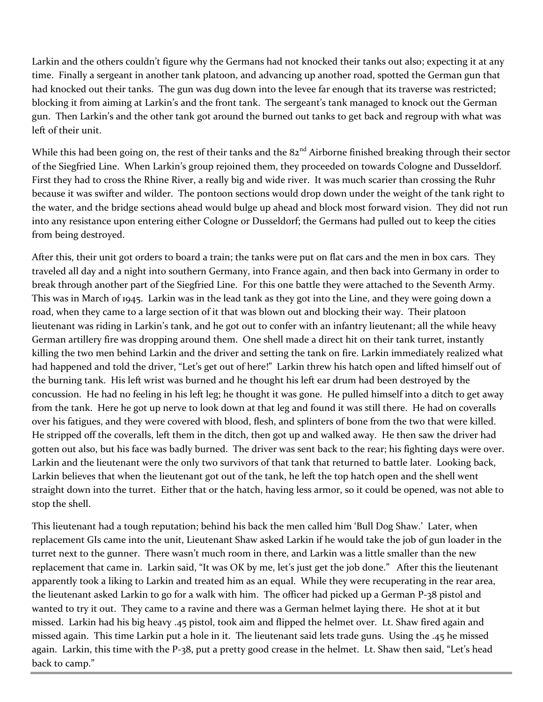Larkin and the others couldn't figure why the Germans had not knocked their tanks out also; expecting it at any time. Finally a sergeant in another tank platoon, and advancing up another road, spotted the German gun that had knocked out their tanks. The gun was dug down into the levee far enough that its traverse was restricted; blocking it from aiming at Larkin's and the front tank. The sergeant's tank managed to knock out the German gun. Then Larkin's and the other tank got around the burned out tanks to get back and regroup with what was left of their unit.

While this had been going on, the rest of their tanks and the  $82<sup>nd</sup>$  Airborne finished breaking through their sector of the Siegfried Line. When Larkin's group rejoined them, they proceeded on towards Cologne and Dusseldorf. First they had to cross the Rhine River, a really big and wide river. It was much scarier than crossing the Ruhr because it was swifter and wilder. The pontoon sections would drop down under the weight of the tank right to the water, and the bridge sections ahead would bulge up ahead and block most forward vision. They did not run into any resistance upon entering either Cologne or Dusseldorf; the Germans had pulled out to keep the cities from being destroyed.

After this, their unit got orders to board a train; the tanks were put on flat cars and the men in box cars. They traveled all day and a night into southern Germany, into France again, and then back into Germany in order to break through another part of the Siegfried Line. For this one battle they were attached to the Seventh Army. This was in March of 1945. Larkin was in the lead tank as they got into the Line, and they were going down a road, when they came to a large section of it that was blown out and blocking their way. Their platoon lieutenant was riding in Larkin's tank, and he got out to confer with an infantry lieutenant; all the while heavy German artillery fire was dropping around them. One shell made a direct hit on their tank turret, instantly killing the two men behind Larkin and the driver and setting the tank on fire. Larkin immediately realized what had happened and told the driver, "Let's get out of here!" Larkin threw his hatch open and lifted himself out of the burning tank. His left wrist was burned and he thought his left ear drum had been destroyed by the concussion. He had no feeling in his left leg; he thought it was gone. He pulled himself into a ditch to get away from the tank. Here he got up nerve to look down at that leg and found it was still there. He had on coveralls over his fatigues, and they were covered with blood, flesh, and splinters of bone from the two that were killed. He stripped off the coveralls, left them in the ditch, then got up and walked away. He then saw the driver had gotten out also, but his face was badly burned. The driver was sent back to the rear; his fighting days were over. Larkin and the lieutenant were the only two survivors of that tank that returned to battle later. Looking back, Larkin believes that when the lieutenant got out of the tank, he left the top hatch open and the shell went straight down into the turret. Either that or the hatch, having less armor, so it could be opened, was not able to stop the shell.

This lieutenant had a tough reputation; behind his back the men called him 'Bull Dog Shaw.' Later, when replacement GIs came into the unit, Lieutenant Shaw asked Larkin if he would take the job of gun loader in the turret next to the gunner. There wasn't much room in there, and Larkin was a little smaller than the new replacement that came in. Larkin said, "It was OK by me, let's just get the job done." After this the lieutenant apparently took a liking to Larkin and treated him as an equal. While they were recuperating in the rear area, the lieutenant asked Larkin to go for a walk with him. The officer had picked up a German P-38 pistol and wanted to try it out. They came to a ravine and there was a German helmet laying there. He shot at it but missed. Larkin had his big heavy .45 pistol, took aim and flipped the helmet over. Lt. Shaw fired again and missed again. This time Larkin put a hole in it. The lieutenant said lets trade guns. Using the .45 he missed again. Larkin, this time with the P-38, put a pretty good crease in the helmet. Lt. Shaw then said, "Let's head back to camp."